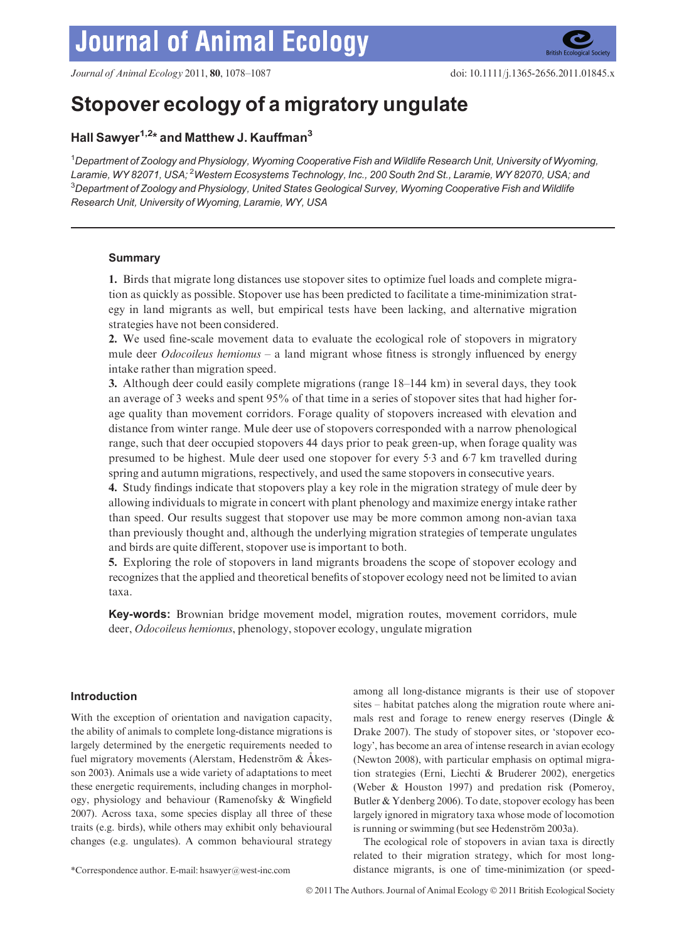# **Journal of Animal Ecology**



# Stopover ecology of a migratory ungulate

# Hall Sawyer<sup>1,2\*</sup> and Matthew J. Kauffman<sup>3</sup>

1 Department of Zoology and Physiology, Wyoming Cooperative Fish and Wildlife Research Unit, University of Wyoming, Laramie, WY 82071, USA; <sup>2</sup>Western Ecosystems Technology, Inc., 200 South 2nd St., Laramie, WY 82070, USA; and  $^3$ Department of Zoology and Physiology, United States Geological Survey, Wyoming Cooperative Fish and Wildlife Research Unit, University of Wyoming, Laramie, WY, USA

# **Summary**

1. Birds that migrate long distances use stopover sites to optimize fuel loads and complete migration as quickly as possible. Stopover use has been predicted to facilitate a time-minimization strategy in land migrants as well, but empirical tests have been lacking, and alternative migration strategies have not been considered.

2. We used fine-scale movement data to evaluate the ecological role of stopovers in migratory mule deer *Odocoileus hemionus* – a land migrant whose fitness is strongly influenced by energy intake rather than migration speed.

3. Although deer could easily complete migrations (range 18–144 km) in several days, they took an average of 3 weeks and spent 95% of that time in a series of stopover sites that had higher forage quality than movement corridors. Forage quality of stopovers increased with elevation and distance from winter range. Mule deer use of stopovers corresponded with a narrow phenological range, such that deer occupied stopovers 44 days prior to peak green-up, when forage quality was presumed to be highest. Mule deer used one stopover for every  $5.3$  and  $6.7$  km travelled during spring and autumn migrations, respectively, and used the same stopovers in consecutive years.

4. Study findings indicate that stopovers play a key role in the migration strategy of mule deer by allowing individuals to migrate in concert with plant phenology and maximize energy intake rather than speed. Our results suggest that stopover use may be more common among non-avian taxa than previously thought and, although the underlying migration strategies of temperate ungulates and birds are quite different, stopover use is important to both.

5. Exploring the role of stopovers in land migrants broadens the scope of stopover ecology and recognizes that the applied and theoretical benefits of stopover ecology need not be limited to avian taxa.

Key-words: Brownian bridge movement model, migration routes, movement corridors, mule deer, Odocoileus hemionus, phenology, stopover ecology, ungulate migration

### Introduction

With the exception of orientation and navigation capacity, the ability of animals to complete long-distance migrations is largely determined by the energetic requirements needed to fuel migratory movements (Alerstam, Hedenström  $&A$ kesson 2003). Animals use a wide variety of adaptations to meet these energetic requirements, including changes in morphology, physiology and behaviour (Ramenofsky & Wingfield 2007). Across taxa, some species display all three of these traits (e.g. birds), while others may exhibit only behavioural changes (e.g. ungulates). A common behavioural strategy

among all long-distance migrants is their use of stopover sites – habitat patches along the migration route where animals rest and forage to renew energy reserves (Dingle & Drake 2007). The study of stopover sites, or 'stopover ecology', has become an area of intense research in avian ecology (Newton 2008), with particular emphasis on optimal migration strategies (Erni, Liechti & Bruderer 2002), energetics (Weber & Houston 1997) and predation risk (Pomeroy, Butler & Ydenberg 2006). To date, stopover ecology has been largely ignored in migratory taxa whose mode of locomotion is running or swimming (but see Hedenström 2003a).

The ecological role of stopovers in avian taxa is directly related to their migration strategy, which for most long- \*Correspondence author. E-mail: hsawyer@west-inc.com distance migrants, is one of time-minimization (or speed-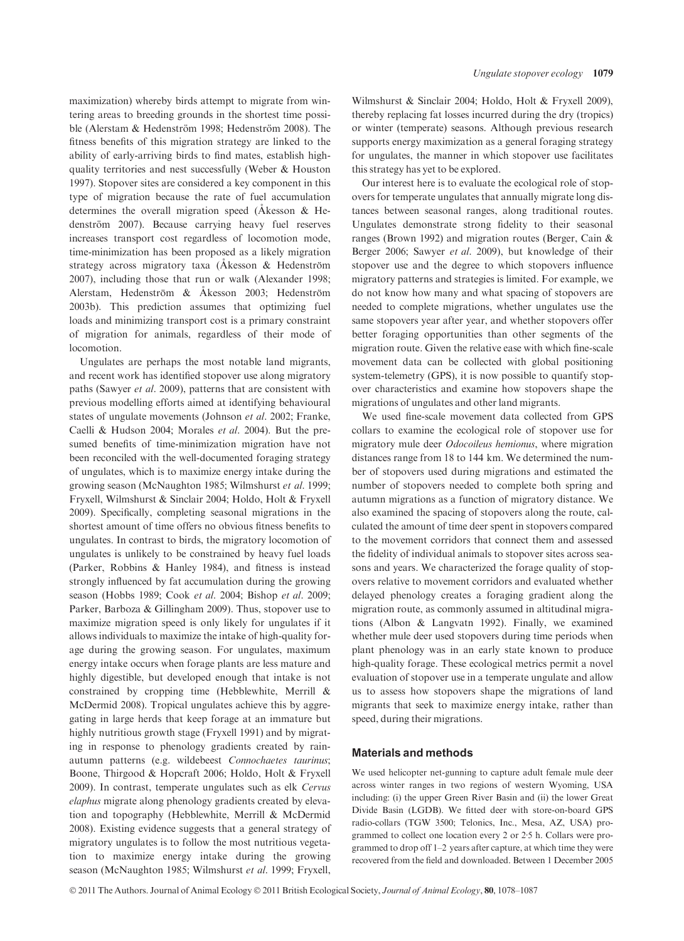maximization) whereby birds attempt to migrate from wintering areas to breeding grounds in the shortest time possible (Alerstam & Hedenström 1998; Hedenström 2008). The fitness benefits of this migration strategy are linked to the ability of early-arriving birds to find mates, establish highquality territories and nest successfully (Weber & Houston 1997). Stopover sites are considered a key component in this type of migration because the rate of fuel accumulation determines the overall migration speed ( $\AA$  kesson  $\&$  Hedenström 2007). Because carrying heavy fuel reserves increases transport cost regardless of locomotion mode, time-minimization has been proposed as a likely migration strategy across migratory taxa (Akesson & Hedenström 2007), including those that run or walk (Alexander 1998; Alerstam, Hedenström & Åkesson 2003; Hedenström 2003b). This prediction assumes that optimizing fuel loads and minimizing transport cost is a primary constraint of migration for animals, regardless of their mode of locomotion.

Ungulates are perhaps the most notable land migrants, and recent work has identified stopover use along migratory paths (Sawyer et al. 2009), patterns that are consistent with previous modelling efforts aimed at identifying behavioural states of ungulate movements (Johnson et al. 2002; Franke, Caelli & Hudson 2004; Morales et al. 2004). But the presumed benefits of time-minimization migration have not been reconciled with the well-documented foraging strategy of ungulates, which is to maximize energy intake during the growing season (McNaughton 1985; Wilmshurst et al. 1999; Fryxell, Wilmshurst & Sinclair 2004; Holdo, Holt & Fryxell 2009). Specifically, completing seasonal migrations in the shortest amount of time offers no obvious fitness benefits to ungulates. In contrast to birds, the migratory locomotion of ungulates is unlikely to be constrained by heavy fuel loads (Parker, Robbins & Hanley 1984), and fitness is instead strongly influenced by fat accumulation during the growing season (Hobbs 1989; Cook et al. 2004; Bishop et al. 2009; Parker, Barboza & Gillingham 2009). Thus, stopover use to maximize migration speed is only likely for ungulates if it allows individuals to maximize the intake of high-quality forage during the growing season. For ungulates, maximum energy intake occurs when forage plants are less mature and highly digestible, but developed enough that intake is not constrained by cropping time (Hebblewhite, Merrill & McDermid 2008). Tropical ungulates achieve this by aggregating in large herds that keep forage at an immature but highly nutritious growth stage (Fryxell 1991) and by migrating in response to phenology gradients created by rainautumn patterns (e.g. wildebeest Connochaetes taurinus; Boone, Thirgood & Hopcraft 2006; Holdo, Holt & Fryxell 2009). In contrast, temperate ungulates such as elk Cervus elaphus migrate along phenology gradients created by elevation and topography (Hebblewhite, Merrill & McDermid 2008). Existing evidence suggests that a general strategy of migratory ungulates is to follow the most nutritious vegetation to maximize energy intake during the growing season (McNaughton 1985; Wilmshurst et al. 1999; Fryxell,

Wilmshurst & Sinclair 2004; Holdo, Holt & Fryxell 2009), thereby replacing fat losses incurred during the dry (tropics) or winter (temperate) seasons. Although previous research supports energy maximization as a general foraging strategy for ungulates, the manner in which stopover use facilitates this strategy has yet to be explored.

Our interest here is to evaluate the ecological role of stopovers for temperate ungulates that annually migrate long distances between seasonal ranges, along traditional routes. Ungulates demonstrate strong fidelity to their seasonal ranges (Brown 1992) and migration routes (Berger, Cain & Berger 2006; Sawyer et al. 2009), but knowledge of their stopover use and the degree to which stopovers influence migratory patterns and strategies is limited. For example, we do not know how many and what spacing of stopovers are needed to complete migrations, whether ungulates use the same stopovers year after year, and whether stopovers offer better foraging opportunities than other segments of the migration route. Given the relative ease with which fine-scale movement data can be collected with global positioning system-telemetry (GPS), it is now possible to quantify stopover characteristics and examine how stopovers shape the migrations of ungulates and other land migrants.

We used fine-scale movement data collected from GPS collars to examine the ecological role of stopover use for migratory mule deer Odocoileus hemionus, where migration distances range from 18 to 144 km. We determined the number of stopovers used during migrations and estimated the number of stopovers needed to complete both spring and autumn migrations as a function of migratory distance. We also examined the spacing of stopovers along the route, calculated the amount of time deer spent in stopovers compared to the movement corridors that connect them and assessed the fidelity of individual animals to stopover sites across seasons and years. We characterized the forage quality of stopovers relative to movement corridors and evaluated whether delayed phenology creates a foraging gradient along the migration route, as commonly assumed in altitudinal migrations (Albon & Langvatn 1992). Finally, we examined whether mule deer used stopovers during time periods when plant phenology was in an early state known to produce high-quality forage. These ecological metrics permit a novel evaluation of stopover use in a temperate ungulate and allow us to assess how stopovers shape the migrations of land migrants that seek to maximize energy intake, rather than speed, during their migrations.

# Materials and methods

We used helicopter net-gunning to capture adult female mule deer across winter ranges in two regions of western Wyoming, USA including: (i) the upper Green River Basin and (ii) the lower Great Divide Basin (LGDB). We fitted deer with store-on-board GPS radio-collars (TGW 3500; Telonics, Inc., Mesa, AZ, USA) programmed to collect one location every 2 or 2.5 h. Collars were programmed to drop off 1–2 years after capture, at which time they were recovered from the field and downloaded. Between 1 December 2005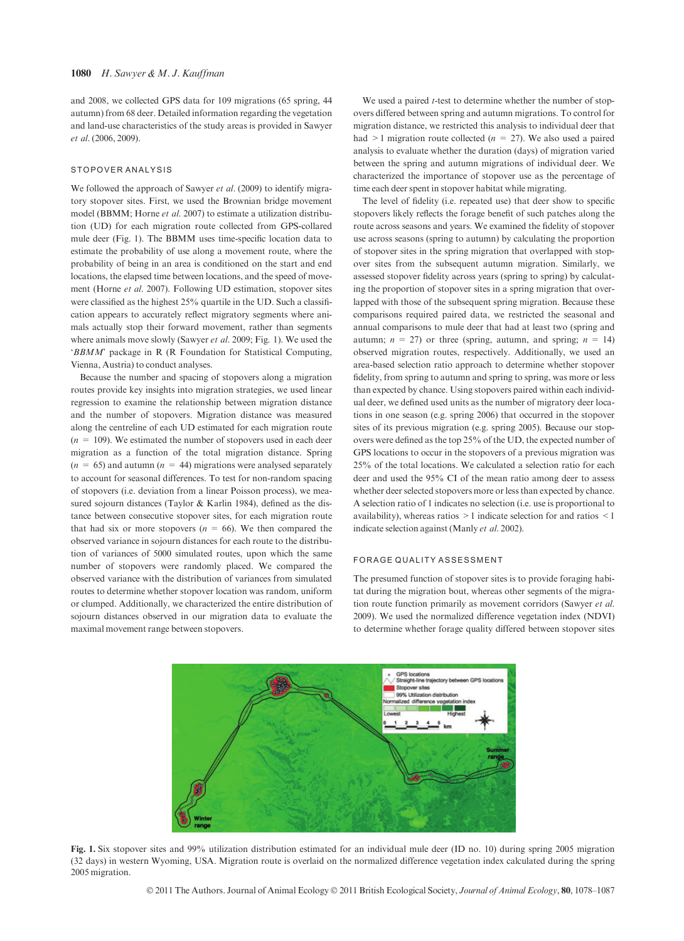and 2008, we collected GPS data for 109 migrations (65 spring, 44 autumn) from 68 deer. Detailed information regarding the vegetation and land-use characteristics of the study areas is provided in Sawyer et al. (2006, 2009).

#### STOPOVER ANALYSIS

We followed the approach of Sawyer et al. (2009) to identify migratory stopover sites. First, we used the Brownian bridge movement model (BBMM; Horne et al. 2007) to estimate a utilization distribution (UD) for each migration route collected from GPS-collared mule deer (Fig. 1). The BBMM uses time-specific location data to estimate the probability of use along a movement route, where the probability of being in an area is conditioned on the start and end locations, the elapsed time between locations, and the speed of movement (Horne et al. 2007). Following UD estimation, stopover sites were classified as the highest 25% quartile in the UD. Such a classification appears to accurately reflect migratory segments where animals actually stop their forward movement, rather than segments where animals move slowly (Sawyer et al. 2009; Fig. 1). We used the 'BBMM' package in R (R Foundation for Statistical Computing, Vienna, Austria) to conduct analyses.

Because the number and spacing of stopovers along a migration routes provide key insights into migration strategies, we used linear regression to examine the relationship between migration distance and the number of stopovers. Migration distance was measured along the centreline of each UD estimated for each migration route  $(n = 109)$ . We estimated the number of stopovers used in each deer migration as a function of the total migration distance. Spring  $(n = 65)$  and autumn  $(n = 44)$  migrations were analysed separately to account for seasonal differences. To test for non-random spacing of stopovers (i.e. deviation from a linear Poisson process), we measured sojourn distances (Taylor & Karlin 1984), defined as the distance between consecutive stopover sites, for each migration route that had six or more stopovers ( $n = 66$ ). We then compared the observed variance in sojourn distances for each route to the distribution of variances of 5000 simulated routes, upon which the same number of stopovers were randomly placed. We compared the observed variance with the distribution of variances from simulated routes to determine whether stopover location was random, uniform or clumped. Additionally, we characterized the entire distribution of sojourn distances observed in our migration data to evaluate the maximal movement range between stopovers.

We used a paired *t*-test to determine whether the number of stopovers differed between spring and autumn migrations. To control for migration distance, we restricted this analysis to individual deer that had  $\geq 1$  migration route collected ( $n = 27$ ). We also used a paired analysis to evaluate whether the duration (days) of migration varied between the spring and autumn migrations of individual deer. We characterized the importance of stopover use as the percentage of time each deer spent in stopover habitat while migrating.

The level of fidelity (i.e. repeated use) that deer show to specific stopovers likely reflects the forage benefit of such patches along the route across seasons and years. We examined the fidelity of stopover use across seasons (spring to autumn) by calculating the proportion of stopover sites in the spring migration that overlapped with stopover sites from the subsequent autumn migration. Similarly, we assessed stopover fidelity across years (spring to spring) by calculating the proportion of stopover sites in a spring migration that overlapped with those of the subsequent spring migration. Because these comparisons required paired data, we restricted the seasonal and annual comparisons to mule deer that had at least two (spring and autumn;  $n = 27$ ) or three (spring, autumn, and spring;  $n = 14$ ) observed migration routes, respectively. Additionally, we used an area-based selection ratio approach to determine whether stopover fidelity, from spring to autumn and spring to spring, was more or less than expected by chance. Using stopovers paired within each individual deer, we defined used units as the number of migratory deer locations in one season (e.g. spring 2006) that occurred in the stopover sites of its previous migration (e.g. spring 2005). Because our stopovers were defined as the top 25% of the UD, the expected number of GPS locations to occur in the stopovers of a previous migration was 25% of the total locations. We calculated a selection ratio for each deer and used the 95% CI of the mean ratio among deer to assess whether deer selected stopovers more or less than expected by chance. A selection ratio of 1 indicates no selection (i.e. use is proportional to availability), whereas ratios  $>1$  indicate selection for and ratios  $<1$ indicate selection against (Manly et al. 2002).

#### FORAGE QUALITY ASSESSMENT

The presumed function of stopover sites is to provide foraging habitat during the migration bout, whereas other segments of the migration route function primarily as movement corridors (Sawyer et al. 2009). We used the normalized difference vegetation index (NDVI) to determine whether forage quality differed between stopover sites



Fig. 1. Six stopover sites and 99% utilization distribution estimated for an individual mule deer (ID no. 10) during spring 2005 migration (32 days) in western Wyoming, USA. Migration route is overlaid on the normalized difference vegetation index calculated during the spring 2005 migration.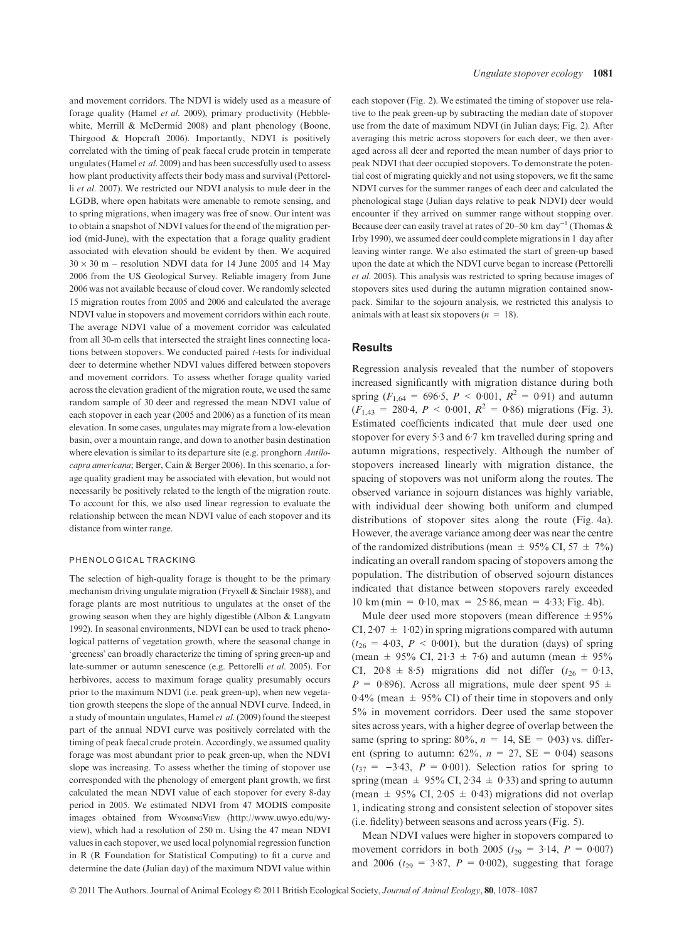and movement corridors. The NDVI is widely used as a measure of forage quality (Hamel et al. 2009), primary productivity (Hebblewhite, Merrill & McDermid 2008) and plant phenology (Boone, Thirgood & Hopcraft 2006). Importantly, NDVI is positively correlated with the timing of peak faecal crude protein in temperate ungulates (Hamel et al. 2009) and has been successfully used to assess how plant productivity affects their body mass and survival (Pettorelli et al. 2007). We restricted our NDVI analysis to mule deer in the LGDB, where open habitats were amenable to remote sensing, and to spring migrations, when imagery was free of snow. Our intent was to obtain a snapshot of NDVI values for the end of the migration period (mid-June), with the expectation that a forage quality gradient associated with elevation should be evident by then. We acquired  $30 \times 30$  m – resolution NDVI data for 14 June 2005 and 14 May 2006 from the US Geological Survey. Reliable imagery from June 2006 was not available because of cloud cover. We randomly selected 15 migration routes from 2005 and 2006 and calculated the average NDVI value in stopovers and movement corridors within each route. The average NDVI value of a movement corridor was calculated from all 30-m cells that intersected the straight lines connecting locations between stopovers. We conducted paired t-tests for individual deer to determine whether NDVI values differed between stopovers and movement corridors. To assess whether forage quality varied across the elevation gradient of the migration route, we used the same random sample of 30 deer and regressed the mean NDVI value of each stopover in each year (2005 and 2006) as a function of its mean elevation. In some cases, ungulates may migrate from a low-elevation basin, over a mountain range, and down to another basin destination where elevation is similar to its departure site (e.g. pronghorn Antilocapra americana; Berger, Cain & Berger 2006). In this scenario, a forage quality gradient may be associated with elevation, but would not necessarily be positively related to the length of the migration route. To account for this, we also used linear regression to evaluate the relationship between the mean NDVI value of each stopover and its distance from winter range.

#### PHENOLOGICAL TRACKING

The selection of high-quality forage is thought to be the primary mechanism driving ungulate migration (Fryxell & Sinclair 1988), and forage plants are most nutritious to ungulates at the onset of the growing season when they are highly digestible (Albon & Langvatn 1992). In seasonal environments, NDVI can be used to track phenological patterns of vegetation growth, where the seasonal change in 'greeness' can broadly characterize the timing of spring green-up and late-summer or autumn senescence (e.g. Pettorelli et al. 2005). For herbivores, access to maximum forage quality presumably occurs prior to the maximum NDVI (i.e. peak green-up), when new vegetation growth steepens the slope of the annual NDVI curve. Indeed, in a study of mountain ungulates, Hamel et al. (2009) found the steepest part of the annual NDVI curve was positively correlated with the timing of peak faecal crude protein. Accordingly, we assumed quality forage was most abundant prior to peak green-up, when the NDVI slope was increasing. To assess whether the timing of stopover use corresponded with the phenology of emergent plant growth, we first calculated the mean NDVI value of each stopover for every 8-day period in 2005. We estimated NDVI from 47 MODIS composite images obtained from WyomingView (http://www.uwyo.edu/wyview), which had a resolution of 250 m. Using the 47 mean NDVI values in each stopover, we used local polynomial regression function in R (R Foundation for Statistical Computing) to fit a curve and determine the date (Julian day) of the maximum NDVI value within each stopover (Fig. 2). We estimated the timing of stopover use relative to the peak green-up by subtracting the median date of stopover use from the date of maximum NDVI (in Julian days; Fig. 2). After averaging this metric across stopovers for each deer, we then averaged across all deer and reported the mean number of days prior to peak NDVI that deer occupied stopovers. To demonstrate the potential cost of migrating quickly and not using stopovers, we fit the same NDVI curves for the summer ranges of each deer and calculated the phenological stage (Julian days relative to peak NDVI) deer would encounter if they arrived on summer range without stopping over. Because deer can easily travel at rates of 20–50 km day<sup>-1</sup> (Thomas & Irby 1990), we assumed deer could complete migrations in 1 day after leaving winter range. We also estimated the start of green-up based upon the date at which the NDVI curve began to increase (Pettorelli et al. 2005). This analysis was restricted to spring because images of stopovers sites used during the autumn migration contained snowpack. Similar to the sojourn analysis, we restricted this analysis to animals with at least six stopovers ( $n = 18$ ).

#### **Results**

Regression analysis revealed that the number of stopovers increased significantly with migration distance during both spring ( $F_{1,64} = 696.5$ ,  $P < 0.001$ ,  $R^2 = 0.91$ ) and autumn  $(F<sub>1,43</sub> = 280.4, P < 0.001, R<sup>2</sup> = 0.86)$  migrations (Fig. 3). Estimated coefficients indicated that mule deer used one stopover for every 5 $-3$  and 6 $-7$  km travelled during spring and autumn migrations, respectively. Although the number of stopovers increased linearly with migration distance, the spacing of stopovers was not uniform along the routes. The observed variance in sojourn distances was highly variable, with individual deer showing both uniform and clumped distributions of stopover sites along the route (Fig. 4a). However, the average variance among deer was near the centre of the randomized distributions (mean  $\pm$  95% CI, 57  $\pm$  7%) indicating an overall random spacing of stopovers among the population. The distribution of observed sojourn distances indicated that distance between stopovers rarely exceeded  $10 \text{ km (min} = 0.10, \text{max} = 25.86, \text{mean} = 4.33; \text{Fig. 4b}).$ 

Mule deer used more stopovers (mean difference  $\pm 95\%$ CI,  $2.07 \pm 1.02$ ) in spring migrations compared with autumn  $(t_{26} = 4.03, P < 0.001)$ , but the duration (days) of spring (mean  $\pm$  95% CI, 21.3  $\pm$  7.6) and autumn (mean  $\pm$  95% CI,  $20.8 \pm 8.5$ ) migrations did not differ ( $t_{26} = 0.13$ ,  $P = 0.896$ . Across all migrations, mule deer spent 95  $\pm$  $0.4\%$  (mean  $\pm$  95% CI) of their time in stopovers and only 5% in movement corridors. Deer used the same stopover sites across years, with a higher degree of overlap between the same (spring to spring:  $80\%, n = 14$ , SE = 0.03) vs. different (spring to autumn:  $62\%, n = 27$ , SE = 0.04) seasons  $(t_{37} = -3.43, P = 0.001)$ . Selection ratios for spring to spring (mean  $\pm$  95% CI, 2.34  $\pm$  0.33) and spring to autumn (mean  $\pm$  95% CI, 205  $\pm$  0.43) migrations did not overlap 1, indicating strong and consistent selection of stopover sites (i.e. fidelity) between seasons and across years (Fig. 5).

Mean NDVI values were higher in stopovers compared to movement corridors in both 2005 ( $t_{29} = 3.14$ ,  $P = 0.007$ ) and 2006 ( $t_{29} = 3.87$ ,  $P = 0.002$ ), suggesting that forage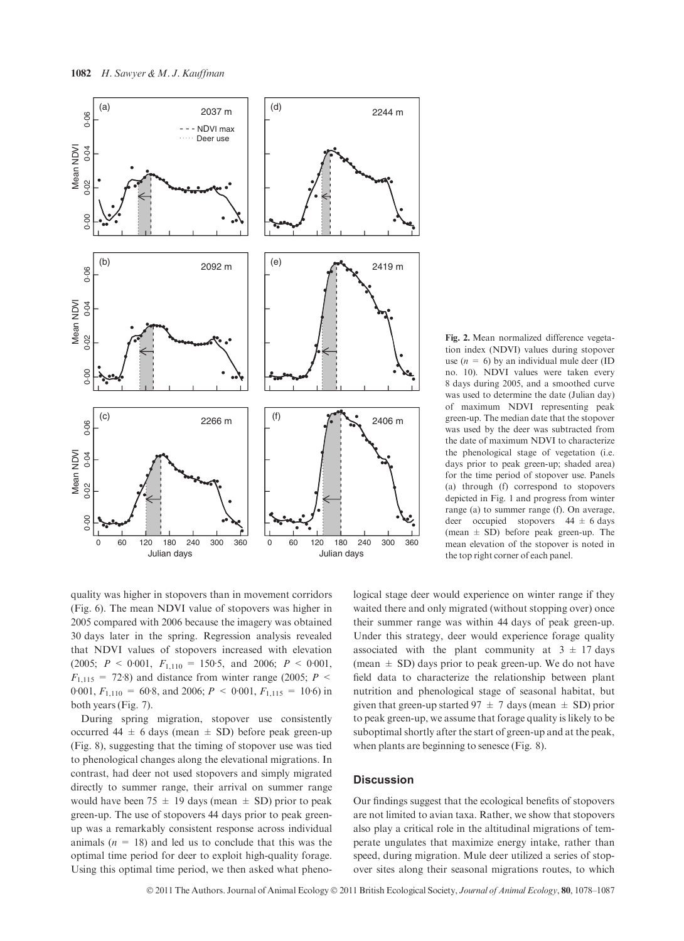

quality was higher in stopovers than in movement corridors (Fig. 6). The mean NDVI value of stopovers was higher in 2005 compared with 2006 because the imagery was obtained 30 days later in the spring. Regression analysis revealed that NDVI values of stopovers increased with elevation (2005;  $P \le 0.001$ ,  $F_{1,110} = 150.5$ , and 2006;  $P \le 0.001$ ,  $F_{1,115}$  = 72.8) and distance from winter range (2005; P < 0.001,  $F_{1,110} = 60.8$ , and 2006;  $P < 0.001$ ,  $F_{1,115} = 10.6$ ) in both years (Fig. 7).

During spring migration, stopover use consistently occurred  $44 \pm 6$  days (mean  $\pm$  SD) before peak green-up (Fig. 8), suggesting that the timing of stopover use was tied to phenological changes along the elevational migrations. In contrast, had deer not used stopovers and simply migrated directly to summer range, their arrival on summer range would have been 75  $\pm$  19 days (mean  $\pm$  SD) prior to peak green-up. The use of stopovers 44 days prior to peak greenup was a remarkably consistent response across individual animals  $(n = 18)$  and led us to conclude that this was the optimal time period for deer to exploit high-quality forage. Using this optimal time period, we then asked what pheno-

Fig. 2. Mean normalized difference vegetation index (NDVI) values during stopover use  $(n = 6)$  by an individual mule deer (ID no. 10). NDVI values were taken every 8 days during 2005, and a smoothed curve was used to determine the date (Julian day) of maximum NDVI representing peak green-up. The median date that the stopover was used by the deer was subtracted from the date of maximum NDVI to characterize the phenological stage of vegetation (i.e. days prior to peak green-up; shaded area) for the time period of stopover use. Panels (a) through (f) correspond to stopovers depicted in Fig. 1 and progress from winter range (a) to summer range (f). On average, deer occupied stopovers  $44 \pm 6$  days (mean  $\pm$  SD) before peak green-up. The mean elevation of the stopover is noted in the top right corner of each panel.

logical stage deer would experience on winter range if they waited there and only migrated (without stopping over) once their summer range was within 44 days of peak green-up. Under this strategy, deer would experience forage quality associated with the plant community at  $3 \pm 17$  days (mean  $\pm$  SD) days prior to peak green-up. We do not have field data to characterize the relationship between plant nutrition and phenological stage of seasonal habitat, but given that green-up started  $97 \pm 7$  days (mean  $\pm$  SD) prior to peak green-up, we assume that forage quality is likely to be suboptimal shortly after the start of green-up and at the peak, when plants are beginning to senesce (Fig. 8).

# **Discussion**

Our findings suggest that the ecological benefits of stopovers are not limited to avian taxa. Rather, we show that stopovers also play a critical role in the altitudinal migrations of temperate ungulates that maximize energy intake, rather than speed, during migration. Mule deer utilized a series of stopover sites along their seasonal migrations routes, to which

© 2011 The Authors. Journal of Animal Ecology © 2011 British Ecological Society, Journal of Animal Ecology, 80, 1078–1087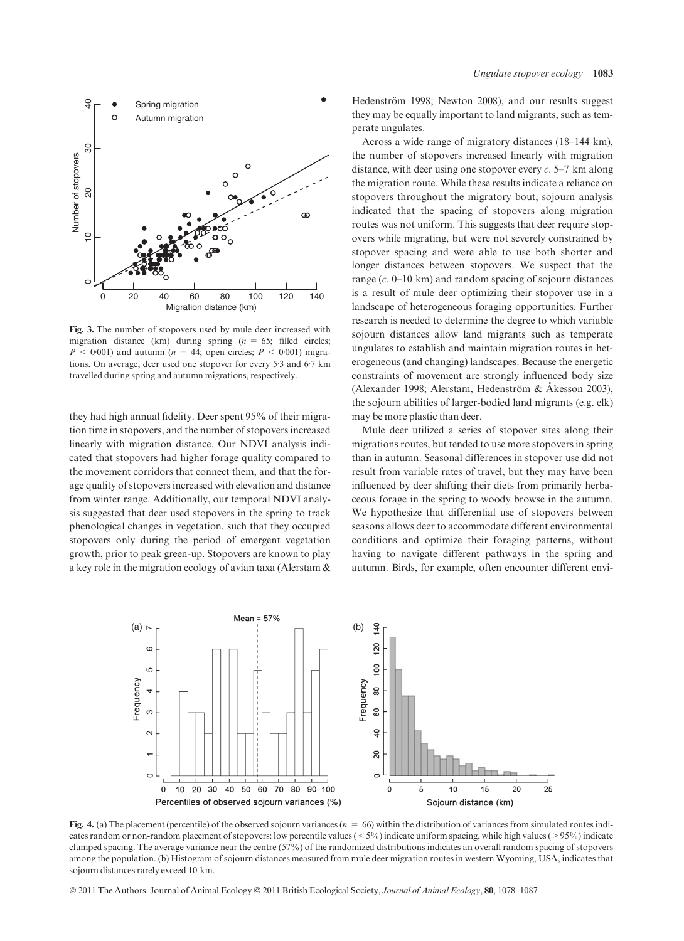

Fig. 3. The number of stopovers used by mule deer increased with migration distance (km) during spring ( $n = 65$ ; filled circles;  $P < 0.001$ ) and autumn ( $n = 44$ ; open circles;  $P < 0.001$ ) migrations. On average, deer used one stopover for every 5.3 and 6.7 km travelled during spring and autumn migrations, respectively.

they had high annual fidelity. Deer spent 95% of their migration time in stopovers, and the number of stopovers increased linearly with migration distance. Our NDVI analysis indicated that stopovers had higher forage quality compared to the movement corridors that connect them, and that the forage quality of stopovers increased with elevation and distance from winter range. Additionally, our temporal NDVI analysis suggested that deer used stopovers in the spring to track phenological changes in vegetation, such that they occupied stopovers only during the period of emergent vegetation growth, prior to peak green-up. Stopovers are known to play a key role in the migration ecology of avian taxa (Alerstam &

Hedenström 1998; Newton 2008), and our results suggest they may be equally important to land migrants, such as temperate ungulates.

Across a wide range of migratory distances (18–144 km), the number of stopovers increased linearly with migration distance, with deer using one stopover every  $c$ . 5–7 km along the migration route. While these results indicate a reliance on stopovers throughout the migratory bout, sojourn analysis indicated that the spacing of stopovers along migration routes was not uniform. This suggests that deer require stopovers while migrating, but were not severely constrained by stopover spacing and were able to use both shorter and longer distances between stopovers. We suspect that the range (c. 0–10 km) and random spacing of sojourn distances is a result of mule deer optimizing their stopover use in a landscape of heterogeneous foraging opportunities. Further research is needed to determine the degree to which variable sojourn distances allow land migrants such as temperate ungulates to establish and maintain migration routes in heterogeneous (and changing) landscapes. Because the energetic constraints of movement are strongly influenced body size (Alexander 1998; Alerstam, Hedenström & Åkesson 2003), the sojourn abilities of larger-bodied land migrants (e.g. elk) may be more plastic than deer.

Mule deer utilized a series of stopover sites along their migrations routes, but tended to use more stopovers in spring than in autumn. Seasonal differences in stopover use did not result from variable rates of travel, but they may have been influenced by deer shifting their diets from primarily herbaceous forage in the spring to woody browse in the autumn. We hypothesize that differential use of stopovers between seasons allows deer to accommodate different environmental conditions and optimize their foraging patterns, without having to navigate different pathways in the spring and autumn. Birds, for example, often encounter different envi-



Fig. 4. (a) The placement (percentile) of the observed sojourn variances ( $n = 66$ ) within the distribution of variances from simulated routes indicates random or non-random placement of stopovers: low percentile values (<5%) indicate uniform spacing, while high values (>95%) indicate clumped spacing. The average variance near the centre (57%) of the randomized distributions indicates an overall random spacing of stopovers among the population. (b) Histogram of sojourn distances measured from mule deer migration routes in western Wyoming, USA, indicates that sojourn distances rarely exceed 10 km.

© 2011 The Authors. Journal of Animal Ecology © 2011 British Ecological Society, Journal of Animal Ecology, 80, 1078–1087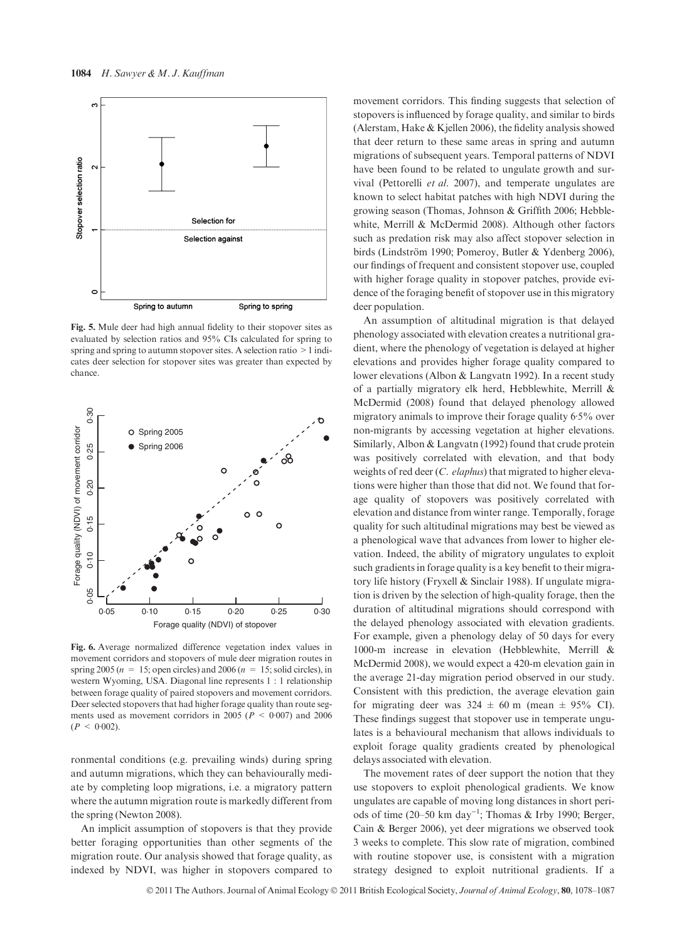

Fig. 5. Mule deer had high annual fidelity to their stopover sites as evaluated by selection ratios and 95% CIs calculated for spring to spring and spring to autumn stopover sites. A selection ratio >1 indicates deer selection for stopover sites was greater than expected by chance.



Fig. 6. Average normalized difference vegetation index values in movement corridors and stopovers of mule deer migration routes in spring 2005 ( $n = 15$ ; open circles) and 2006 ( $n = 15$ ; solid circles), in western Wyoming, USA. Diagonal line represents 1 : 1 relationship between forage quality of paired stopovers and movement corridors. Deer selected stopovers that had higher forage quality than route segments used as movement corridors in 2005 ( $P < 0.007$ ) and 2006  $(P < 0.002)$ .

ronmental conditions (e.g. prevailing winds) during spring and autumn migrations, which they can behaviourally mediate by completing loop migrations, i.e. a migratory pattern where the autumn migration route is markedly different from the spring (Newton 2008).

An implicit assumption of stopovers is that they provide better foraging opportunities than other segments of the migration route. Our analysis showed that forage quality, as indexed by NDVI, was higher in stopovers compared to movement corridors. This finding suggests that selection of stopovers is influenced by forage quality, and similar to birds (Alerstam, Hake & Kjellen 2006), the fidelity analysis showed that deer return to these same areas in spring and autumn migrations of subsequent years. Temporal patterns of NDVI have been found to be related to ungulate growth and survival (Pettorelli et al. 2007), and temperate ungulates are known to select habitat patches with high NDVI during the growing season (Thomas, Johnson & Griffith 2006; Hebblewhite, Merrill & McDermid 2008). Although other factors such as predation risk may also affect stopover selection in birds (Lindström 1990; Pomeroy, Butler & Ydenberg 2006), our findings of frequent and consistent stopover use, coupled with higher forage quality in stopover patches, provide evidence of the foraging benefit of stopover use in this migratory deer population.

An assumption of altitudinal migration is that delayed phenology associated with elevation creates a nutritional gradient, where the phenology of vegetation is delayed at higher elevations and provides higher forage quality compared to lower elevations (Albon & Langvatn 1992). In a recent study of a partially migratory elk herd, Hebblewhite, Merrill & McDermid (2008) found that delayed phenology allowed migratory animals to improve their forage quality  $6.5\%$  over non-migrants by accessing vegetation at higher elevations. Similarly, Albon & Langvatn (1992) found that crude protein was positively correlated with elevation, and that body weights of red deer (C. elaphus) that migrated to higher elevations were higher than those that did not. We found that forage quality of stopovers was positively correlated with elevation and distance from winter range. Temporally, forage quality for such altitudinal migrations may best be viewed as a phenological wave that advances from lower to higher elevation. Indeed, the ability of migratory ungulates to exploit such gradients in forage quality is a key benefit to their migratory life history (Fryxell & Sinclair 1988). If ungulate migration is driven by the selection of high-quality forage, then the duration of altitudinal migrations should correspond with the delayed phenology associated with elevation gradients. For example, given a phenology delay of 50 days for every 1000-m increase in elevation (Hebblewhite, Merrill & McDermid 2008), we would expect a 420-m elevation gain in the average 21-day migration period observed in our study. Consistent with this prediction, the average elevation gain for migrating deer was  $324 \pm 60$  m (mean  $\pm 95\%$  CI). These findings suggest that stopover use in temperate ungulates is a behavioural mechanism that allows individuals to exploit forage quality gradients created by phenological delays associated with elevation.

The movement rates of deer support the notion that they use stopovers to exploit phenological gradients. We know ungulates are capable of moving long distances in short periods of time  $(20-50 \text{ km day}^{-1})$ ; Thomas & Irby 1990; Berger, Cain & Berger 2006), yet deer migrations we observed took 3 weeks to complete. This slow rate of migration, combined with routine stopover use, is consistent with a migration strategy designed to exploit nutritional gradients. If a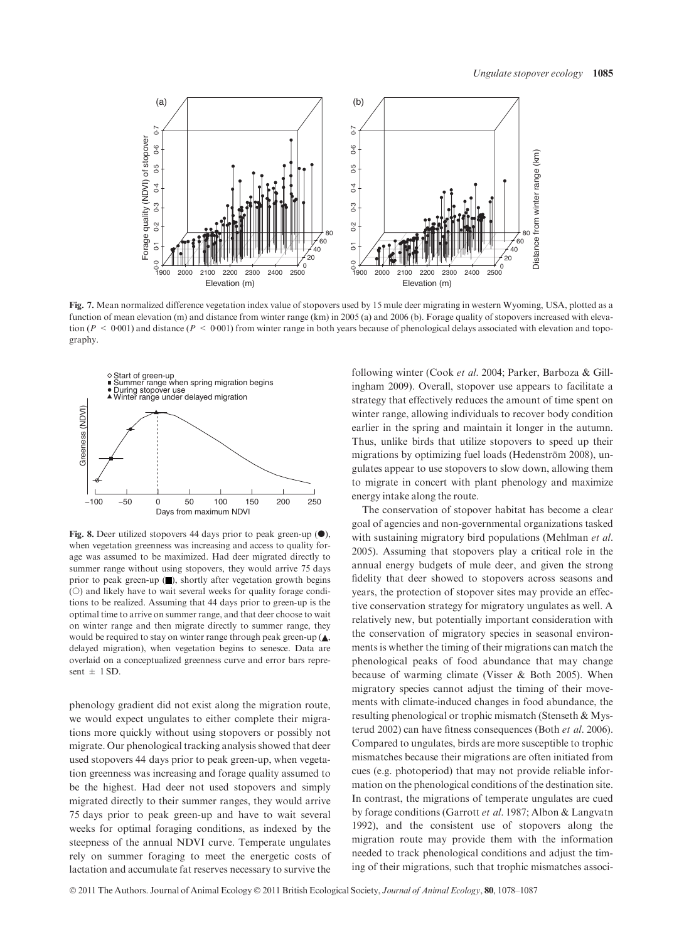

Fig. 7. Mean normalized difference vegetation index value of stopovers used by 15 mule deer migrating in western Wyoming, USA, plotted as a function of mean elevation (m) and distance from winter range (km) in 2005 (a) and 2006 (b). Forage quality of stopovers increased with elevation ( $P < 0.001$ ) and distance ( $P < 0.001$ ) from winter range in both years because of phenological delays associated with elevation and topography.



Fig. 8. Deer utilized stopovers 44 days prior to peak green-up  $(•)$ , when vegetation greenness was increasing and access to quality forage was assumed to be maximized. Had deer migrated directly to summer range without using stopovers, they would arrive 75 days prior to peak green-up  $(\blacksquare)$ , shortly after vegetation growth begins  $(O)$  and likely have to wait several weeks for quality forage conditions to be realized. Assuming that 44 days prior to green-up is the optimal time to arrive on summer range, and that deer choose to wait on winter range and then migrate directly to summer range, they would be required to stay on winter range through peak green-up  $(A, \cdot)$ delayed migration), when vegetation begins to senesce. Data are overlaid on a conceptualized greenness curve and error bars represent  $\pm$  1 SD.

phenology gradient did not exist along the migration route, we would expect ungulates to either complete their migrations more quickly without using stopovers or possibly not migrate. Our phenological tracking analysis showed that deer used stopovers 44 days prior to peak green-up, when vegetation greenness was increasing and forage quality assumed to be the highest. Had deer not used stopovers and simply migrated directly to their summer ranges, they would arrive 75 days prior to peak green-up and have to wait several weeks for optimal foraging conditions, as indexed by the steepness of the annual NDVI curve. Temperate ungulates rely on summer foraging to meet the energetic costs of lactation and accumulate fat reserves necessary to survive the

following winter (Cook et al. 2004; Parker, Barboza & Gillingham 2009). Overall, stopover use appears to facilitate a strategy that effectively reduces the amount of time spent on winter range, allowing individuals to recover body condition earlier in the spring and maintain it longer in the autumn. Thus, unlike birds that utilize stopovers to speed up their migrations by optimizing fuel loads (Hedenström 2008), ungulates appear to use stopovers to slow down, allowing them to migrate in concert with plant phenology and maximize energy intake along the route.

The conservation of stopover habitat has become a clear goal of agencies and non-governmental organizations tasked with sustaining migratory bird populations (Mehlman et al. 2005). Assuming that stopovers play a critical role in the annual energy budgets of mule deer, and given the strong fidelity that deer showed to stopovers across seasons and years, the protection of stopover sites may provide an effective conservation strategy for migratory ungulates as well. A relatively new, but potentially important consideration with the conservation of migratory species in seasonal environments is whether the timing of their migrations can match the phenological peaks of food abundance that may change because of warming climate (Visser & Both 2005). When migratory species cannot adjust the timing of their movements with climate-induced changes in food abundance, the resulting phenological or trophic mismatch (Stenseth & Mysterud 2002) can have fitness consequences (Both et al. 2006). Compared to ungulates, birds are more susceptible to trophic mismatches because their migrations are often initiated from cues (e.g. photoperiod) that may not provide reliable information on the phenological conditions of the destination site. In contrast, the migrations of temperate ungulates are cued by forage conditions (Garrott et al. 1987; Albon & Langvatn 1992), and the consistent use of stopovers along the migration route may provide them with the information needed to track phenological conditions and adjust the timing of their migrations, such that trophic mismatches associ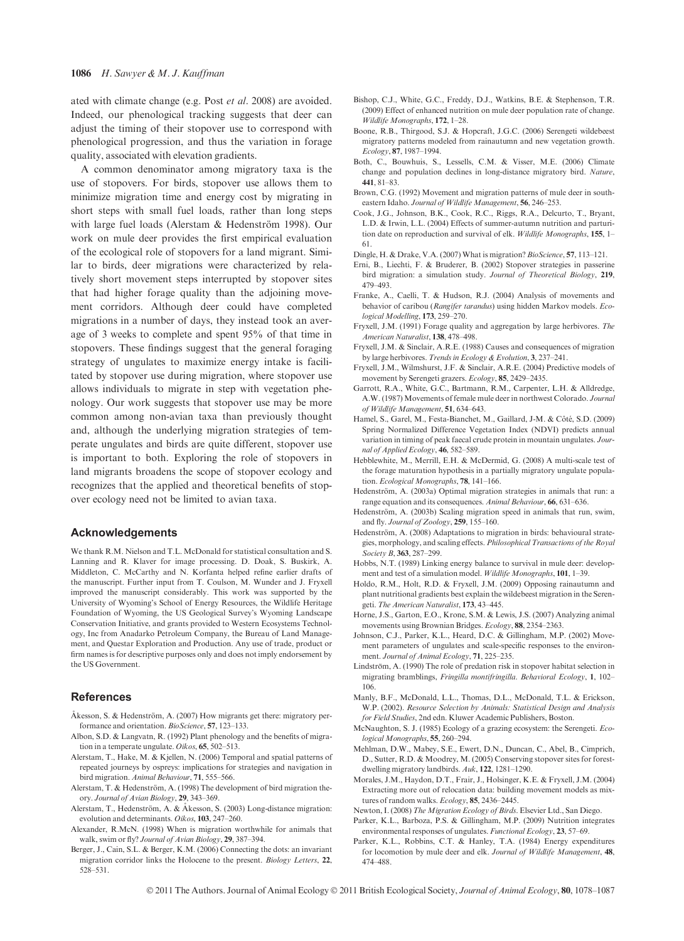ated with climate change (e.g. Post et al. 2008) are avoided. Indeed, our phenological tracking suggests that deer can adjust the timing of their stopover use to correspond with phenological progression, and thus the variation in forage quality, associated with elevation gradients.

A common denominator among migratory taxa is the use of stopovers. For birds, stopover use allows them to minimize migration time and energy cost by migrating in short steps with small fuel loads, rather than long steps with large fuel loads (Alerstam  $&$  Hedenström 1998). Our work on mule deer provides the first empirical evaluation of the ecological role of stopovers for a land migrant. Similar to birds, deer migrations were characterized by relatively short movement steps interrupted by stopover sites that had higher forage quality than the adjoining movement corridors. Although deer could have completed migrations in a number of days, they instead took an average of 3 weeks to complete and spent 95% of that time in stopovers. These findings suggest that the general foraging strategy of ungulates to maximize energy intake is facilitated by stopover use during migration, where stopover use allows individuals to migrate in step with vegetation phenology. Our work suggests that stopover use may be more common among non-avian taxa than previously thought and, although the underlying migration strategies of temperate ungulates and birds are quite different, stopover use is important to both. Exploring the role of stopovers in land migrants broadens the scope of stopover ecology and recognizes that the applied and theoretical benefits of stopover ecology need not be limited to avian taxa.

# Acknowledgements

We thank R.M. Nielson and T.L. McDonald for statistical consultation and S. Lanning and R. Klaver for image processing. D. Doak, S. Buskirk, A. Middleton, C. McCarthy and N. Korfanta helped refine earlier drafts of the manuscript. Further input from T. Coulson, M. Wunder and J. Fryxell improved the manuscript considerably. This work was supported by the University of Wyoming's School of Energy Resources, the Wildlife Heritage Foundation of Wyoming, the US Geological Survey's Wyoming Landscape Conservation Initiative, and grants provided to Western Ecosystems Technology, Inc from Anadarko Petroleum Company, the Bureau of Land Management, and Questar Exploration and Production. Any use of trade, product or firm names is for descriptive purposes only and does not imply endorsement by the US Government.

#### **References**

- Åkesson, S. & Hedenström, A. (2007) How migrants get there: migratory performance and orientation. BioScience, 57, 123–133.
- Albon, S.D. & Langvatn, R. (1992) Plant phenology and the benefits of migration in a temperate ungulate. Oikos, 65, 502–513.
- Alerstam, T., Hake, M. & Kjellen, N. (2006) Temporal and spatial patterns of repeated journeys by ospreys: implications for strategies and navigation in bird migration. Animal Behaviour, 71, 555–566.
- Alerstam, T. & Hedenström, A. (1998) The development of bird migration theory. Journal of Avian Biology, 29, 343–369.
- Alerstam, T., Hedenström, A. & Åkesson, S. (2003) Long-distance migration: evolution and determinants. Oikos, 103, 247–260.
- Alexander, R.McN. (1998) When is migration worthwhile for animals that walk, swim or fly? Journal of Avian Biology, 29, 387–394.
- Berger, J., Cain, S.L. & Berger, K.M. (2006) Connecting the dots: an invariant migration corridor links the Holocene to the present. *Biology Letters*, 22, 528–531.
- Bishop, C.J., White, G.C., Freddy, D.J., Watkins, B.E. & Stephenson, T.R. (2009) Effect of enhanced nutrition on mule deer population rate of change. Wildlife Monographs, 172, 1–28.
- Boone, R.B., Thirgood, S.J. & Hopcraft, J.G.C. (2006) Serengeti wildebeest migratory patterns modeled from rainautumn and new vegetation growth. Ecology, 87, 1987–1994.
- Both, C., Bouwhuis, S., Lessells, C.M. & Visser, M.E. (2006) Climate change and population declines in long-distance migratory bird. Nature, 441, 81–83.
- Brown, C.G. (1992) Movement and migration patterns of mule deer in southeastern Idaho. Journal of Wildlife Management, 56, 246-253.
- Cook, J.G., Johnson, B.K., Cook, R.C., Riggs, R.A., Delcurto, T., Bryant, L.D. & Irwin, L.L. (2004) Effects of summer-autumn nutrition and parturition date on reproduction and survival of elk. Wildlife Monographs, 155, 1-61.
- Dingle, H. & Drake, V.A. (2007) What is migration? BioScience, 57, 113-121.
- Erni, B., Liechti, F. & Bruderer, B. (2002) Stopover strategies in passerine bird migration: a simulation study. Journal of Theoretical Biology, 219, 479–493.
- Franke, A., Caelli, T. & Hudson, R.J. (2004) Analysis of movements and behavior of caribou (Rangifer tarandus) using hidden Markov models. Ecological Modelling, 173, 259–270.
- Fryxell, J.M. (1991) Forage quality and aggregation by large herbivores. The American Naturalist, 138, 478–498.
- Fryxell, J.M. & Sinclair, A.R.E. (1988) Causes and consequences of migration by large herbivores. Trends in Ecology & Evolution, 3, 237–241.
- Fryxell, J.M., Wilmshurst, J.F. & Sinclair, A.R.E. (2004) Predictive models of movement by Serengeti grazers. Ecology, 85, 2429–2435.
- Garrott, R.A., White, G.C., Bartmann, R.M., Carpenter, L.H. & Alldredge, A.W. (1987) Movements of female mule deer in northwest Colorado. Journal of Wildlife Management, 51, 634–643.
- Hamel, S., Garel, M., Festa-Bianchet, M., Gaillard, J-M. & Côté, S.D. (2009) Spring Normalized Difference Vegetation Index (NDVI) predicts annual variation in timing of peak faecal crude protein in mountain ungulates. Journal of Applied Ecology, 46, 582–589.
- Hebblewhite, M., Merrill, E.H. & McDermid, G. (2008) A multi-scale test of the forage maturation hypothesis in a partially migratory ungulate population. Ecological Monographs, 78, 141–166.
- Hedenström, A. (2003a) Optimal migration strategies in animals that run: a range equation and its consequences. Animal Behaviour, 66, 631–636.
- Hedenström, A. (2003b) Scaling migration speed in animals that run, swim, and fly. Journal of Zoology, 259, 155-160.
- Hedenström, A. (2008) Adaptations to migration in birds: behavioural strategies, morphology, and scaling effects. Philosophical Transactions of the Royal Society B, 363, 287–299.
- Hobbs, N.T. (1989) Linking energy balance to survival in mule deer: development and test of a simulation model. Wildlife Monographs, 101, 1–39.
- Holdo, R.M., Holt, R.D. & Fryxell, J.M. (2009) Opposing rainautumn and plant nutritional gradients best explain the wildebeest migration in the Serengeti. The American Naturalist, 173, 43–445.
- Horne, J.S., Garton, E.O., Krone, S.M. & Lewis, J.S. (2007) Analyzing animal movements using Brownian Bridges. Ecology, 88, 2354–2363.
- Johnson, C.J., Parker, K.L., Heard, D.C. & Gillingham, M.P. (2002) Movement parameters of ungulates and scale-specific responses to the environment. Journal of Animal Ecology, 71, 225–235.
- Lindström, A. (1990) The role of predation risk in stopover habitat selection in migrating bramblings, Fringilla montifringilla. Behavioral Ecology, 1, 102– 106.
- Manly, B.F., McDonald, L.L., Thomas, D.L., McDonald, T.L. & Erickson, W.P. (2002). Resource Selection by Animals: Statistical Design and Analysis for Field Studies, 2nd edn. Kluwer Academic Publishers, Boston.
- McNaughton, S. J. (1985) Ecology of a grazing ecosystem: the Serengeti. Ecological Monographs, 55, 260–294.
- Mehlman, D.W., Mabey, S.E., Ewert, D.N., Duncan, C., Abel, B., Cimprich, D., Sutter, R.D. & Moodrey, M. (2005) Conserving stopover sites for forestdwelling migratory landbirds. Auk, 122, 1281–1290.
- Morales, J.M., Haydon, D.T., Frair, J., Holsinger, K.E. & Fryxell, J.M. (2004) Extracting more out of relocation data: building movement models as mixtures of random walks. Ecology, 85, 2436–2445.
- Newton, I. (2008) The Migration Ecology of Birds. Elsevier Ltd., San Diego.
- Parker, K.L., Barboza, P.S. & Gillingham, M.P. (2009) Nutrition integrates environmental responses of ungulates. Functional Ecology, 23, 57–69.
- Parker, K.L., Robbins, C.T. & Hanley, T.A. (1984) Energy expenditures for locomotion by mule deer and elk. Journal of Wildlife Management, 48, 474–488.

© 2011 The Authors. Journal of Animal Ecology © 2011 British Ecological Society, Journal of Animal Ecology, 80, 1078–1087